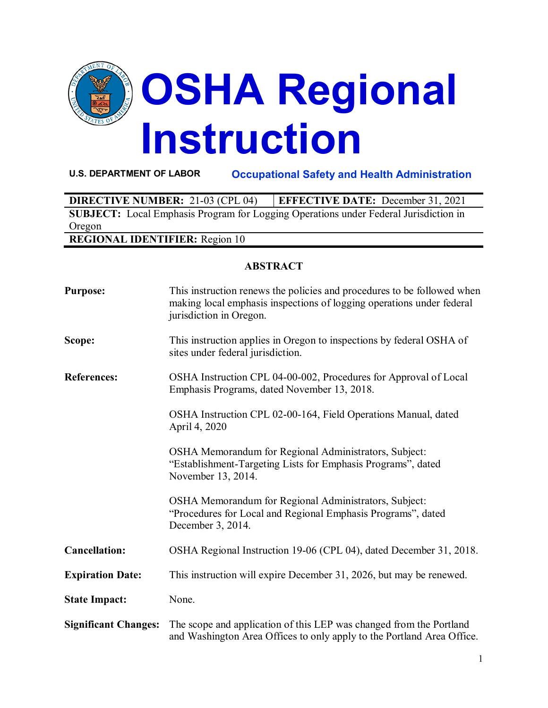

**U.S. DEPARTMENT OF LABOR Occupational Safety and Health Administration**

| <b>DIRECTIVE NUMBER: 21-03 (CPL 04)</b>                                                     | <b>EFFECTIVE DATE:</b> December 31, 2021 |
|---------------------------------------------------------------------------------------------|------------------------------------------|
| <b>SUBJECT:</b> Local Emphasis Program for Logging Operations under Federal Jurisdiction in |                                          |
| Oregon                                                                                      |                                          |
| <b>DECIONAL IDENTIFIED</b> Pagion 10                                                        |                                          |

**REGIONAL IDENTIFIER:** Region 10

## **ABSTRACT**

| <b>Purpose:</b>             | This instruction renews the policies and procedures to be followed when<br>making local emphasis inspections of logging operations under federal<br>jurisdiction in Oregon. |  |  |
|-----------------------------|-----------------------------------------------------------------------------------------------------------------------------------------------------------------------------|--|--|
| Scope:                      | This instruction applies in Oregon to inspections by federal OSHA of<br>sites under federal jurisdiction.                                                                   |  |  |
| <b>References:</b>          | OSHA Instruction CPL 04-00-002, Procedures for Approval of Local<br>Emphasis Programs, dated November 13, 2018.                                                             |  |  |
|                             | OSHA Instruction CPL 02-00-164, Field Operations Manual, dated<br>April 4, 2020                                                                                             |  |  |
|                             | OSHA Memorandum for Regional Administrators, Subject:<br>"Establishment-Targeting Lists for Emphasis Programs", dated<br>November 13, 2014.                                 |  |  |
|                             | OSHA Memorandum for Regional Administrators, Subject:<br>"Procedures for Local and Regional Emphasis Programs", dated<br>December 3, 2014.                                  |  |  |
| <b>Cancellation:</b>        | OSHA Regional Instruction 19-06 (CPL 04), dated December 31, 2018.                                                                                                          |  |  |
| <b>Expiration Date:</b>     | This instruction will expire December 31, 2026, but may be renewed.                                                                                                         |  |  |
| <b>State Impact:</b>        | None.                                                                                                                                                                       |  |  |
| <b>Significant Changes:</b> | The scope and application of this LEP was changed from the Portland<br>and Washington Area Offices to only apply to the Portland Area Office.                               |  |  |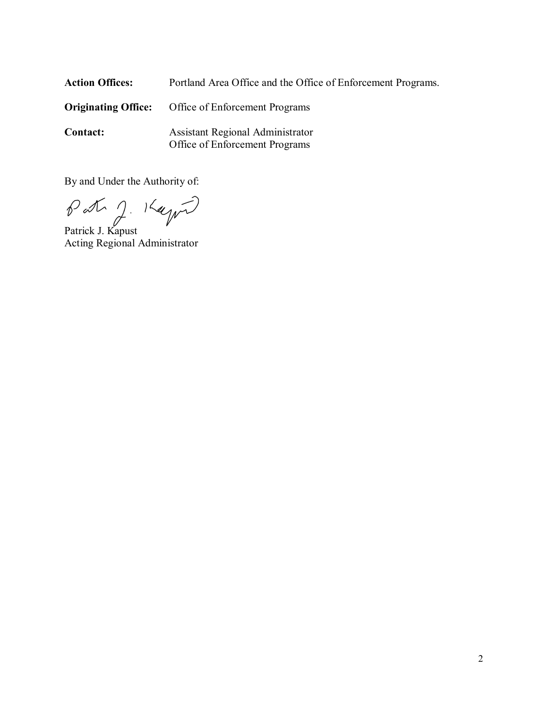| <b>Action Offices:</b> | Portland Area Office and the Office of Enforcement Programs.              |
|------------------------|---------------------------------------------------------------------------|
|                        | <b>Originating Office:</b> Office of Enforcement Programs                 |
| <b>Contact:</b>        | <b>Assistant Regional Administrator</b><br>Office of Enforcement Programs |

By and Under the Authority of:

Patrick J. Kapust

Acting Regional Administrator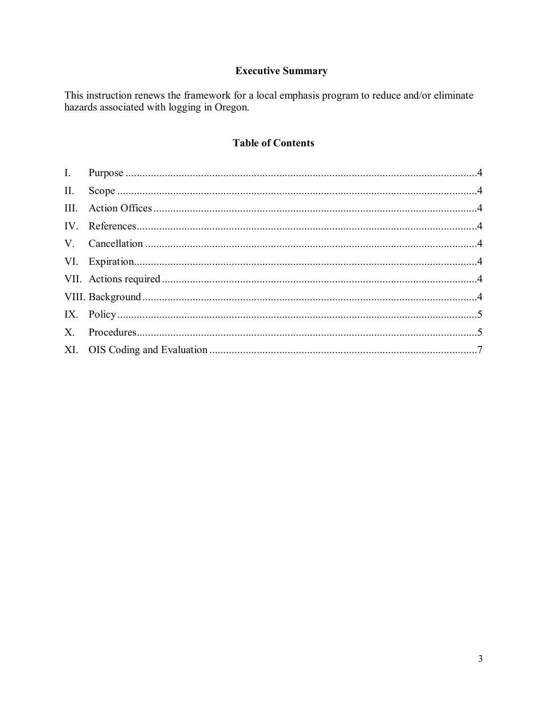# **Executive Summary**

This instruction renews the framework for a local emphasis program to reduce and/or eliminate hazards associated with logging in Oregon.

# **Table of Contents**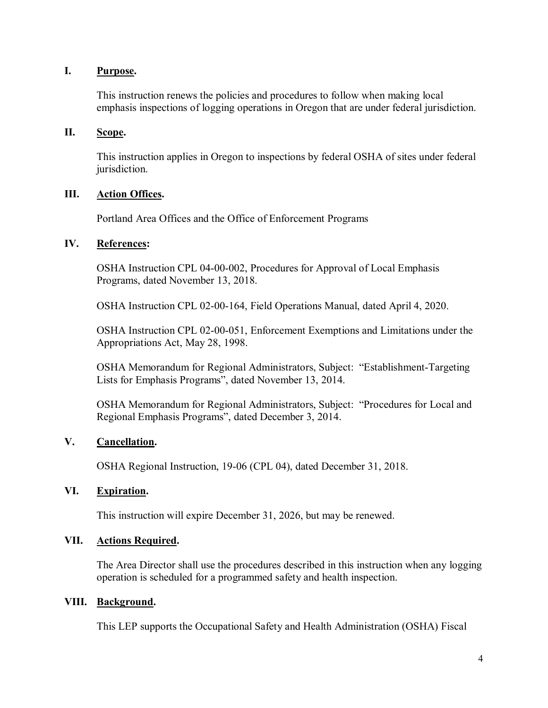## <span id="page-3-0"></span>**I. Purpose.**

This instruction renews the policies and procedures to follow when making local emphasis inspections of logging operations in Oregon that are under federal jurisdiction.

## <span id="page-3-1"></span>**II. Scope.**

This instruction applies in Oregon to inspections by federal OSHA of sites under federal jurisdiction.

## <span id="page-3-2"></span>**III. Action Offices.**

Portland Area Offices and the Office of Enforcement Programs

## <span id="page-3-3"></span>**IV. References:**

OSHA Instruction CPL 04-00-002, Procedures for Approval of Local Emphasis Programs, dated November 13, 2018.

OSHA Instruction CPL 02-00-164, Field Operations Manual, dated April 4, 2020.

OSHA Instruction CPL 02-00-051, Enforcement Exemptions and Limitations under the Appropriations Act, May 28, 1998.

OSHA Memorandum for Regional Administrators, Subject: "Establishment-Targeting Lists for Emphasis Programs", dated November 13, 2014.

OSHA Memorandum for Regional Administrators, Subject: "Procedures for Local and Regional Emphasis Programs", dated December 3, 2014.

## <span id="page-3-4"></span>**V. Cancellation.**

OSHA Regional Instruction, 19-06 (CPL 04), dated December 31, 2018.

## <span id="page-3-5"></span>**VI. Expiration.**

This instruction will expire December 31, 2026, but may be renewed.

#### <span id="page-3-6"></span>**VII. Actions Required.**

The Area Director shall use the procedures described in this instruction when any logging operation is scheduled for a programmed safety and health inspection.

#### <span id="page-3-7"></span>**VIII. Background.**

This LEP supports the Occupational Safety and Health Administration (OSHA) Fiscal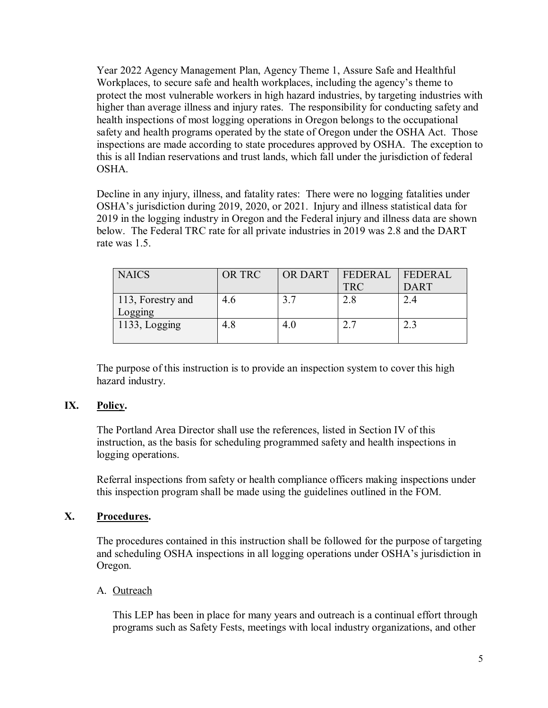Year 2022 Agency Management Plan, Agency Theme 1, Assure Safe and Healthful Workplaces, to secure safe and health workplaces, including the agency's theme to protect the most vulnerable workers in high hazard industries, by targeting industries with higher than average illness and injury rates. The responsibility for conducting safety and health inspections of most logging operations in Oregon belongs to the occupational safety and health programs operated by the state of Oregon under the OSHA Act. Those inspections are made according to state procedures approved by OSHA. The exception to this is all Indian reservations and trust lands, which fall under the jurisdiction of federal OSHA.

Decline in any injury, illness, and fatality rates: There were no logging fatalities under OSHA's jurisdiction during 2019, 2020, or 2021. Injury and illness statistical data for 2019 in the logging industry in Oregon and the Federal injury and illness data are shown below. The Federal TRC rate for all private industries in 2019 was 2.8 and the DART rate was 1.5.

| <b>NAICS</b>      | <b>OR TRC</b> |     | OR DART   FEDERAL   FEDERAL |             |
|-------------------|---------------|-----|-----------------------------|-------------|
|                   |               |     | <b>TRC</b>                  | <b>DART</b> |
| 113, Forestry and | 4.6           | 37  | 2.8                         | 2.4         |
| Logging           |               |     |                             |             |
| $1133,$ Logging   | 4.8           | 4.0 |                             | 2.3         |
|                   |               |     |                             |             |

The purpose of this instruction is to provide an inspection system to cover this high hazard industry.

## <span id="page-4-0"></span>**IX. Policy.**

The Portland Area Director shall use the references, listed in Section IV of this instruction, as the basis for scheduling programmed safety and health inspections in logging operations.

Referral inspections from safety or health compliance officers making inspections under this inspection program shall be made using the guidelines outlined in the FOM.

## <span id="page-4-1"></span>**X. Procedures.**

The procedures contained in this instruction shall be followed for the purpose of targeting and scheduling OSHA inspections in all logging operations under OSHA's jurisdiction in Oregon.

## A. Outreach

This LEP has been in place for many years and outreach is a continual effort through programs such as Safety Fests, meetings with local industry organizations, and other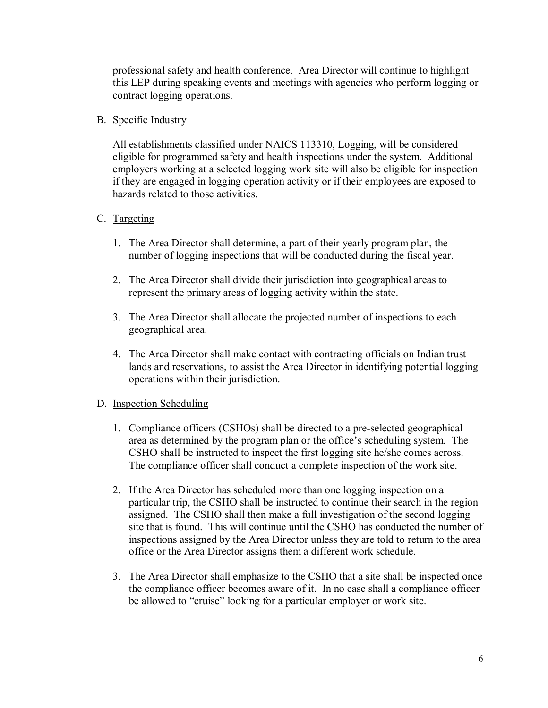professional safety and health conference. Area Director will continue to highlight this LEP during speaking events and meetings with agencies who perform logging or contract logging operations.

## B. Specific Industry

All establishments classified under NAICS 113310, Logging, will be considered eligible for programmed safety and health inspections under the system. Additional employers working at a selected logging work site will also be eligible for inspection if they are engaged in logging operation activity or if their employees are exposed to hazards related to those activities.

## C. Targeting

- 1. The Area Director shall determine, a part of their yearly program plan, the number of logging inspections that will be conducted during the fiscal year.
- 2. The Area Director shall divide their jurisdiction into geographical areas to represent the primary areas of logging activity within the state.
- 3. The Area Director shall allocate the projected number of inspections to each geographical area.
- 4. The Area Director shall make contact with contracting officials on Indian trust lands and reservations, to assist the Area Director in identifying potential logging operations within their jurisdiction.

#### D. Inspection Scheduling

- 1. Compliance officers (CSHOs) shall be directed to a pre-selected geographical area as determined by the program plan or the office's scheduling system. The CSHO shall be instructed to inspect the first logging site he/she comes across. The compliance officer shall conduct a complete inspection of the work site.
- 2. If the Area Director has scheduled more than one logging inspection on a particular trip, the CSHO shall be instructed to continue their search in the region assigned. The CSHO shall then make a full investigation of the second logging site that is found. This will continue until the CSHO has conducted the number of inspections assigned by the Area Director unless they are told to return to the area office or the Area Director assigns them a different work schedule.
- 3. The Area Director shall emphasize to the CSHO that a site shall be inspected once the compliance officer becomes aware of it. In no case shall a compliance officer be allowed to "cruise" looking for a particular employer or work site.